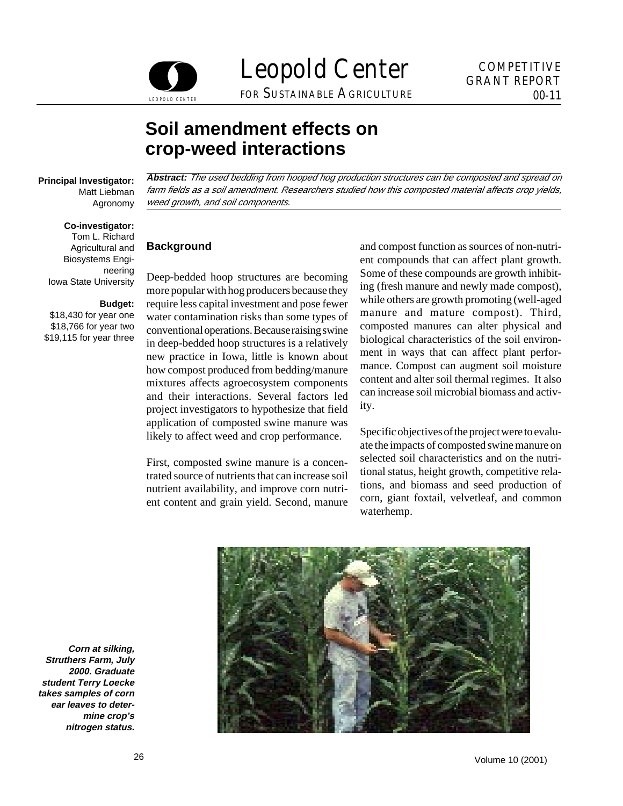

Leopold Center COMPETITIVE FOR SUSTAINABLE AGRICULTURE

# **Soil amendment effects on crop-weed interactions**

#### **Co-investigator:**

Tom L. Richard Agricultural and Biosystems Engineering Iowa State University

#### **Budget:**

\$18,430 for year one \$18,766 for year two \$19,115 for year three

**Principal Investigator: Abstract:** The used bedding from hooped hog production structures can be composted and spread on Matt Liebman farm fields as a soil amendment. Researchers studied how this composted material affects crop yields, Agronomy weed growth, and soil components.

### **Background**

Deep-bedded hoop structures are becoming more popular with hog producers because they require less capital investment and pose fewer water contamination risks than some types of conventional operations. Because raising swine in deep-bedded hoop structures is a relatively new practice in Iowa, little is known about how compost produced from bedding/manure mixtures affects agroecosystem components and their interactions. Several factors led project investigators to hypothesize that field application of composted swine manure was likely to affect weed and crop performance.

First, composted swine manure is a concentrated source of nutrients that can increase soil nutrient availability, and improve corn nutrient content and grain yield. Second, manure

and compost function as sources of non-nutrient compounds that can affect plant growth. Some of these compounds are growth inhibiting (fresh manure and newly made compost), while others are growth promoting (well-aged manure and mature compost). Third, composted manures can alter physical and biological characteristics of the soil environment in ways that can affect plant performance. Compost can augment soil moisture content and alter soil thermal regimes. It also can increase soil microbial biomass and activity.

Specific objectives of the project were to evaluate the impacts of composted swine manure on selected soil characteristics and on the nutritional status, height growth, competitive relations, and biomass and seed production of corn, giant foxtail, velvetleaf, and common waterhemp.



**Corn at silking, Struthers Farm, July 2000. Graduate student Terry Loecke takes samples of corn ear leaves to determine crop's nitrogen status.**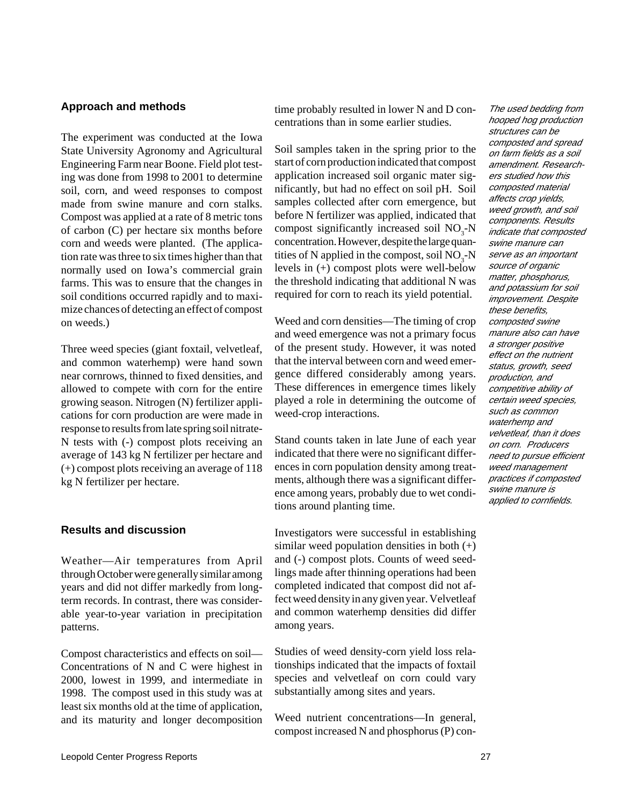#### **Approach and methods**

The experiment was conducted at the Iowa State University Agronomy and Agricultural Engineering Farm near Boone. Field plot testing was done from 1998 to 2001 to determine soil, corn, and weed responses to compost made from swine manure and corn stalks. Compost was applied at a rate of 8 metric tons of carbon (C) per hectare six months before corn and weeds were planted. (The application rate was three to six times higher than that normally used on Iowa's commercial grain farms. This was to ensure that the changes in soil conditions occurred rapidly and to maximize chances of detecting an effect of compost on weeds.)

Three weed species (giant foxtail, velvetleaf, and common waterhemp) were hand sown near cornrows, thinned to fixed densities, and allowed to compete with corn for the entire growing season. Nitrogen (N) fertilizer applications for corn production are were made in response to results from late spring soil nitrate-N tests with (-) compost plots receiving an average of 143 kg N fertilizer per hectare and (+) compost plots receiving an average of 118 kg N fertilizer per hectare.

#### **Results and discussion**

Weather—Air temperatures from April through October were generally similar among years and did not differ markedly from longterm records. In contrast, there was considerable year-to-year variation in precipitation patterns.

Compost characteristics and effects on soil— Concentrations of N and C were highest in 2000, lowest in 1999, and intermediate in 1998. The compost used in this study was at least six months old at the time of application, and its maturity and longer decomposition time probably resulted in lower N and D concentrations than in some earlier studies.

Soil samples taken in the spring prior to the start of corn production indicated that compost application increased soil organic mater significantly, but had no effect on soil pH. Soil samples collected after corn emergence, but before N fertilizer was applied, indicated that compost significantly increased soil  $NO<sub>3</sub>$ -N concentration. However, despite the large quantities of N applied in the compost, soil  $NO<sub>3</sub>$ -N levels in (+) compost plots were well-below the threshold indicating that additional N was required for corn to reach its yield potential.

Weed and corn densities—The timing of crop and weed emergence was not a primary focus of the present study. However, it was noted that the interval between corn and weed emergence differed considerably among years. These differences in emergence times likely played a role in determining the outcome of weed-crop interactions.

Stand counts taken in late June of each year indicated that there were no significant differences in corn population density among treatments, although there was a significant difference among years, probably due to wet conditions around planting time.

Investigators were successful in establishing similar weed population densities in both  $(+)$ and (-) compost plots. Counts of weed seedlings made after thinning operations had been completed indicated that compost did not affect weed density in any given year. Velvetleaf and common waterhemp densities did differ among years.

Studies of weed density-corn yield loss relationships indicated that the impacts of foxtail species and velvetleaf on corn could vary substantially among sites and years.

Weed nutrient concentrations—In general, compost increased N and phosphorus (P) con-

hooped hog production structures can be composted and spread on farm fields as a soil amendment. Researchers studied how this composted material affects crop yields, weed growth, and soil components. Results indicate that composted swine manure can serve as an important source of organic matter, phosphorus, and potassium for soil improvement. Despite these benefits, composted swine manure also can have a stronger positive effect on the nutrient status, growth, seed production, and competitive ability of certain weed species, such as common waterhemp and velvetleaf, than it does on corn. Producers need to pursue efficient weed management practices if composted swine manure is applied to cornfields.

The used bedding from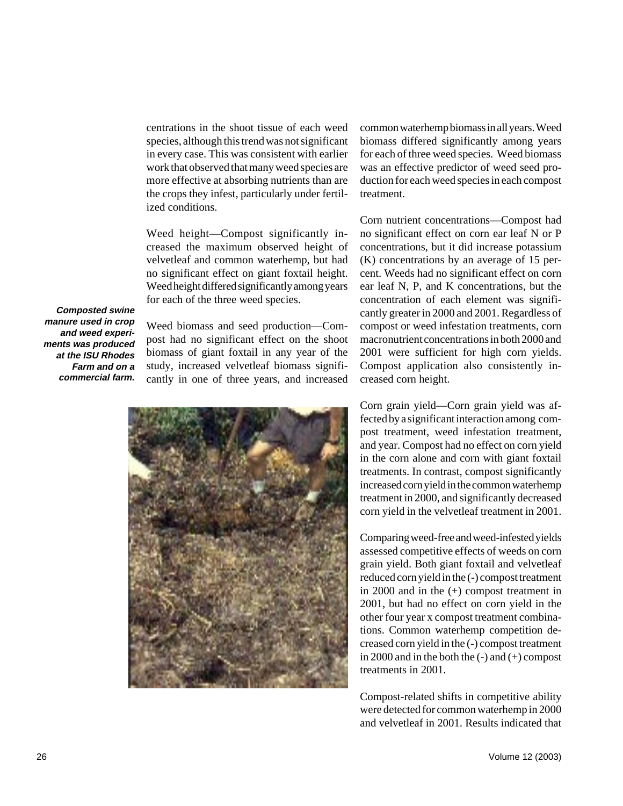centrations in the shoot tissue of each weed species, although this trend was not significant in every case. This was consistent with earlier work that observed that many weed species are more effective at absorbing nutrients than are the crops they infest, particularly under fertilized conditions.

Weed height—Compost significantly increased the maximum observed height of velvetleaf and common waterhemp, but had no significant effect on giant foxtail height. Weed height differed significantly among years for each of the three weed species.

**Composted swine manure used in crop and weed experiments was produced at the ISU Rhodes Farm and on a commercial farm.** 

Weed biomass and seed production—Compost had no significant effect on the shoot biomass of giant foxtail in any year of the study, increased velvetleaf biomass significantly in one of three years, and increased



common waterhemp biomass in all years. Weed biomass differed significantly among years for each of three weed species. Weed biomass was an effective predictor of weed seed production for each weed species in each compost treatment.

Corn nutrient concentrations—Compost had no significant effect on corn ear leaf N or P concentrations, but it did increase potassium (K) concentrations by an average of 15 percent. Weeds had no significant effect on corn ear leaf N, P, and K concentrations, but the concentration of each element was significantly greater in 2000 and 2001. Regardless of compost or weed infestation treatments, corn macronutrient concentrations in both 2000 and 2001 were sufficient for high corn yields. Compost application also consistently increased corn height.

Corn grain yield—Corn grain yield was affected by a significant interaction among compost treatment, weed infestation treatment, and year. Compost had no effect on corn yield in the corn alone and corn with giant foxtail treatments. In contrast, compost significantly increased corn yield in the common waterhemp treatment in 2000, and significantly decreased corn yield in the velvetleaf treatment in 2001.

Comparing weed-free and weed-infested yields assessed competitive effects of weeds on corn grain yield. Both giant foxtail and velvetleaf reduced corn yield in the (-) compost treatment in 2000 and in the (+) compost treatment in 2001, but had no effect on corn yield in the other four year x compost treatment combinations. Common waterhemp competition decreased corn yield in the (-) compost treatment in 2000 and in the both the  $(-)$  and  $(+)$  compost treatments in 2001.

Compost-related shifts in competitive ability were detected for common waterhemp in 2000 and velvetleaf in 2001. Results indicated that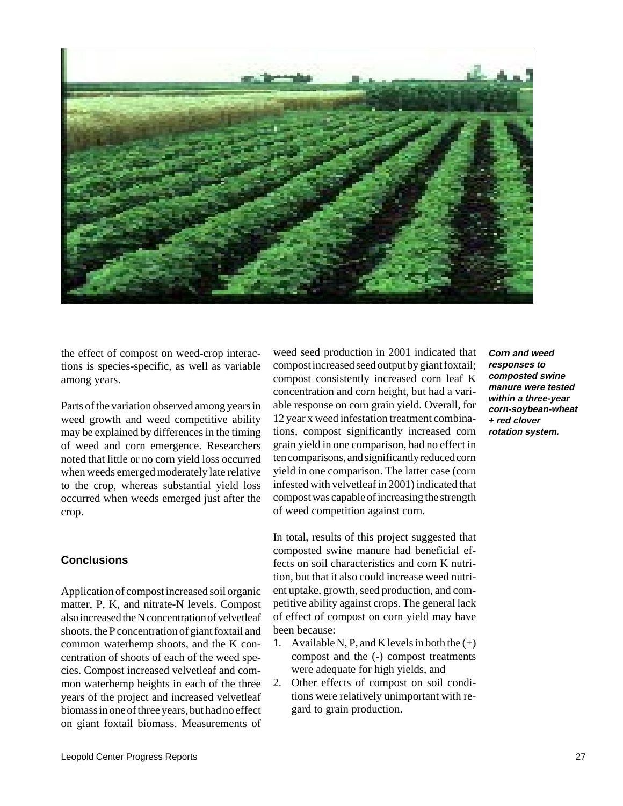

the effect of compost on weed-crop interactions is species-specific, as well as variable among years.

Parts of the variation observed among years in weed growth and weed competitive ability may be explained by differences in the timing of weed and corn emergence. Researchers noted that little or no corn yield loss occurred when weeds emerged moderately late relative to the crop, whereas substantial yield loss occurred when weeds emerged just after the crop.

# **Conclusions**

Application of compost increased soil organic matter, P, K, and nitrate-N levels. Compost also increased the N concentration of velvetleaf shoots, the P concentration of giant foxtail and common waterhemp shoots, and the K concentration of shoots of each of the weed species. Compost increased velvetleaf and common waterhemp heights in each of the three years of the project and increased velvetleaf biomass in one of three years, but had no effect on giant foxtail biomass. Measurements of

weed seed production in 2001 indicated that compost increased seed output by giant foxtail; compost consistently increased corn leaf K concentration and corn height, but had a variable response on corn grain yield. Overall, for 12 year x weed infestation treatment combinations, compost significantly increased corn grain yield in one comparison, had no effect in ten comparisons, and significantly reduced corn yield in one comparison. The latter case (corn infested with velvetleaf in 2001) indicated that compost was capable of increasing the strength of weed competition against corn.

In total, results of this project suggested that composted swine manure had beneficial effects on soil characteristics and corn K nutrition, but that it also could increase weed nutrient uptake, growth, seed production, and competitive ability against crops. The general lack of effect of compost on corn yield may have been because:

- 1. Available N, P, and K levels in both the  $(+)$ compost and the (-) compost treatments were adequate for high yields, and
- 2. Other effects of compost on soil conditions were relatively unimportant with regard to grain production.

**Corn and weed responses to composted swine manure were tested within a three-year corn-soybean-wheat + red clover rotation system.**